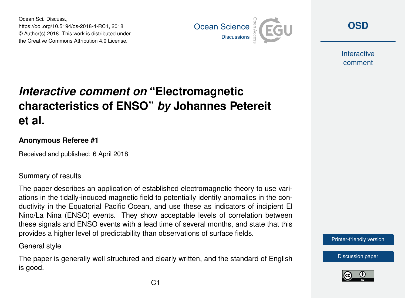Ocean Sci. Discuss., https://doi.org/10.5194/os-2018-4-RC1, 2018 © Author(s) 2018. This work is distributed under the Creative Commons Attribution 4.0 License.



**[OSD](https://www.ocean-sci-discuss.net/)**

**Interactive** comment

# *Interactive comment on* **"Electromagnetic characteristics of ENSO"** *by* **Johannes Petereit et al.**

### **Anonymous Referee #1**

Received and published: 6 April 2018

### Summary of results

The paper describes an application of established electromagnetic theory to use variations in the tidally-induced magnetic field to potentially identify anomalies in the conductivity in the Equatorial Pacific Ocean, and use these as indicators of incipient El Nino/La Nina (ENSO) events. They show acceptable levels of correlation between these signals and ENSO events with a lead time of several months, and state that this provides a higher level of predictability than observations of surface fields.

General style

The paper is generally well structured and clearly written, and the standard of English is good.



[Discussion paper](https://www.ocean-sci-discuss.net/os-2018-4)

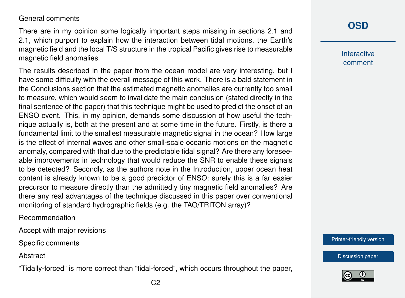General comments

There are in my opinion some logically important steps missing in sections 2.1 and 2.1, which purport to explain how the interaction between tidal motions, the Earth's magnetic field and the local T/S structure in the tropical Pacific gives rise to measurable magnetic field anomalies.

The results described in the paper from the ocean model are very interesting, but I have some difficulty with the overall message of this work. There is a bald statement in the Conclusions section that the estimated magnetic anomalies are currently too small to measure, which would seem to invalidate the main conclusion (stated directly in the final sentence of the paper) that this technique might be used to predict the onset of an ENSO event. This, in my opinion, demands some discussion of how useful the technique actually is, both at the present and at some time in the future. Firstly, is there a fundamental limit to the smallest measurable magnetic signal in the ocean? How large is the effect of internal waves and other small-scale oceanic motions on the magnetic anomaly, compared with that due to the predictable tidal signal? Are there any foreseeable improvements in technology that would reduce the SNR to enable these signals to be detected? Secondly, as the authors note in the Introduction, upper ocean heat content is already known to be a good predictor of ENSO: surely this is a far easier precursor to measure directly than the admittedly tiny magnetic field anomalies? Are there any real advantages of the technique discussed in this paper over conventional monitoring of standard hydrographic fields (e.g. the TAO/TRITON array)?

Recommendation

Accept with major revisions

Specific comments

**Abstract** 

"Tidally-forced" is more correct than "tidal-forced", which occurs throughout the paper,

## **[OSD](https://www.ocean-sci-discuss.net/)**

**Interactive** comment

[Printer-friendly version](https://www.ocean-sci-discuss.net/os-2018-4/os-2018-4-RC1-print.pdf)

[Discussion paper](https://www.ocean-sci-discuss.net/os-2018-4)

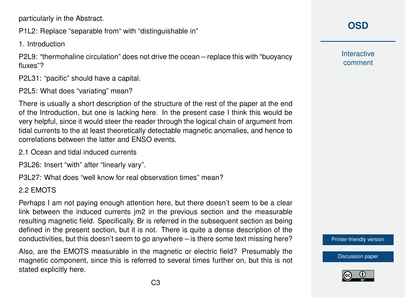particularly in the Abstract.

P1L2: Replace "separable from" with "distinguishable in"

1. Introduction

P2L9: "thermohaline circulation" does not drive the ocean – replace this with "buoyancy fluxes"?

P2L31: "pacific" should have a capital.

P2L5: What does "variating" mean?

There is usually a short description of the structure of the rest of the paper at the end of the Introduction, but one is lacking here. In the present case I think this would be very helpful, since it would steer the reader through the logical chain of argument from tidal currents to the at least theoretically detectable magnetic anomalies, and hence to correlations between the latter and ENSO events.

2.1 Ocean and tidal induced currents

P3L26: Insert "with" after "linearly vary".

P3L27: What does "well know for real observation times" mean?

### 2.2 EMOTS

Perhaps I am not paying enough attention here, but there doesn't seem to be a clear link between the induced currents jm2 in the previous section and the measurable resulting magnetic field. Specifically, Br is referred in the subsequent section as being defined in the present section, but it is not. There is quite a dense description of the conductivities, but this doesn't seem to go anywhere – is there some text missing here?

Also, are the EMOTS measurable in the magnetic or electric field? Presumably the magnetic component, since this is referred to several times further on, but this is not stated explicitly here.

**Interactive** comment

[Printer-friendly version](https://www.ocean-sci-discuss.net/os-2018-4/os-2018-4-RC1-print.pdf)

[Discussion paper](https://www.ocean-sci-discuss.net/os-2018-4)